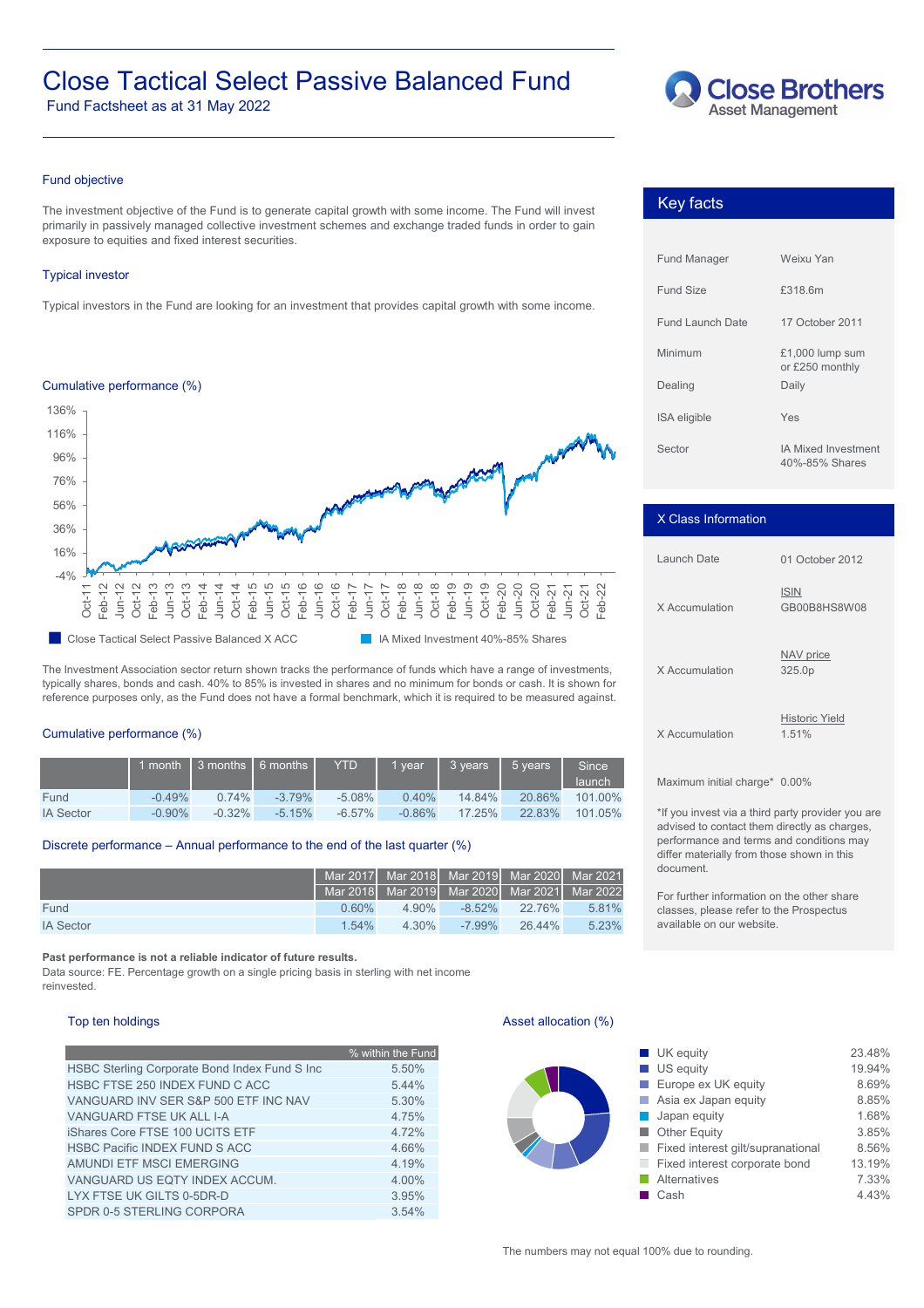# Close Tactical Select Passive Balanced Fund **Close Brothers**

Fund Factsheet as at 31 May 2022



# Fund objective

The investment objective of the Fund is to generate capital growth with some income. The Fund will invest primarily in passively managed collective investment schemes and exchange traded funds in order to gain exposure to equities and fixed interest securities.

# Typical investor

Typical investors in the Fund are looking for an investment that provides capital growth with some income.



The Investment Association sector return shown tracks the performance of funds which have a range of investments, typically shares, bonds and cash. 40% to 85% is invested in shares and no minimum for bonds or cash. It is shown for reference purposes only, as the Fund does not have a formal benchmark, which it is required to be measured against.

# Cumulative performance (%)

|                  |           | 1 month 1 3 months 1 6 months 1 |           | <b>YTD</b> | vear      | 3 vears   | 5 vears | Since<br>launch |
|------------------|-----------|---------------------------------|-----------|------------|-----------|-----------|---------|-----------------|
| Fund             | $-0.49%$  | $0.74\%$                        | $-3.79\%$ | $-5.08\%$  | 0.40%     | 14.84%    | 20.86%  | 101.00%         |
| <b>IA Sector</b> | $-0.90\%$ | $-0.32\%$                       | $-5.15%$  | $-6.57\%$  | $-0.86\%$ | $17.25\%$ | 22.83%  | 101.05%         |

# Discrete performance – Annual performance to the end of the last quarter (%)

|                  |          |          | Mar 2017 Mar 2018 Mar 2019 Mar 2020 Mar 2021 |                  |       |
|------------------|----------|----------|----------------------------------------------|------------------|-------|
|                  |          |          | Mar 2018 Mar 2019 Mar 2020 Mar 2021 Mar 2022 |                  |       |
| Fund             | 0.60%    | $4.90\%$ |                                              | $-8.52\%$ 22.76% | 5.81% |
| <b>IA Sector</b> | $1.54\%$ | $4.30\%$ | -7.99%                                       | 26.44%           | 5.23% |

**Past performance is not a reliable indicator of future results.**

Data source: FE. Percentage growth on a single pricing basis in sterling with net income reinvested.

|                                               | % within the Fund | <b>UK</b> equity                    |
|-----------------------------------------------|-------------------|-------------------------------------|
| HSBC Sterling Corporate Bond Index Fund S Inc | 5.50%             | $\blacksquare$ US equity            |
| HSBC FTSE 250 INDEX FUND C ACC                | 5.44%             | $\blacksquare$ Europe ex UK equity  |
| VANGUARD INV SER S&P 500 ETF INC NAV          | 5.30%             | $\blacksquare$ Asia ex Japan equity |
| VANGUARD FTSE UK ALL I-A                      | 4.75%             | Japan equity                        |
| iShares Core FTSE 100 UCITS ETF               | 4.72%             | $\blacksquare$ Other Equity         |
| HSBC Pacific INDEX FUND S ACC                 | 4.66%             | Fixed interest gilt/supranational   |
| AMUNDI ETF MSCI EMERGING                      | 4.19%             | Fixed interest corporate bond       |
| VANGUARD US EQTY INDEX ACCUM.                 | 4.00%             | Alternatives                        |
| LYX FTSE UK GILTS 0-5DR-D                     | 3.95%             | $\blacksquare$ Cash                 |
| SPDR 0-5 STERLING CORPORA                     | 3.54%             |                                     |

# Top ten holdings **Asset allocation (%)** Asset allocation (%)

| % within the Fund |
|-------------------|
| 5.50%             |
| 5.44%             |
| 5.30%             |
| 4.75%             |
| 4.72%             |
| 4.66%             |
| 4.19%             |
| 4.00%             |
| 3.95%             |
|                   |

The numbers may not equal 100% due to rounding.

| <b>Key facts</b> |  |
|------------------|--|
|------------------|--|

| <b>Fund Manager</b> | Weixu Yan                                    |  |  |
|---------------------|----------------------------------------------|--|--|
| Fund Size           | £318.6m                                      |  |  |
| Fund Launch Date    | 17 October 2011                              |  |  |
| Minimum             | $£1,000$ lump sum<br>or £250 monthly         |  |  |
| Dealing             | Daily                                        |  |  |
| <b>ISA</b> eligible | Yes                                          |  |  |
| Sector              | <b>IA Mixed Investment</b><br>40%-85% Shares |  |  |

# X Class Information

| Launch Date    | 01 October 2012                |
|----------------|--------------------------------|
| X Accumulation | <b>ISIN</b><br>GB00B8HS8W08    |
| X Accumulation | NAV price<br>325.0p            |
| X Accumulation | <b>Historic Yield</b><br>1.51% |

Maximum initial charge\* 0.00%

\*If you invest via a third party provider you are advised to contact them directly as charges, performance and terms and conditions may differ materially from those shown in this document.

For further information on the other share classes, please refer to the Prospectus available on our website.